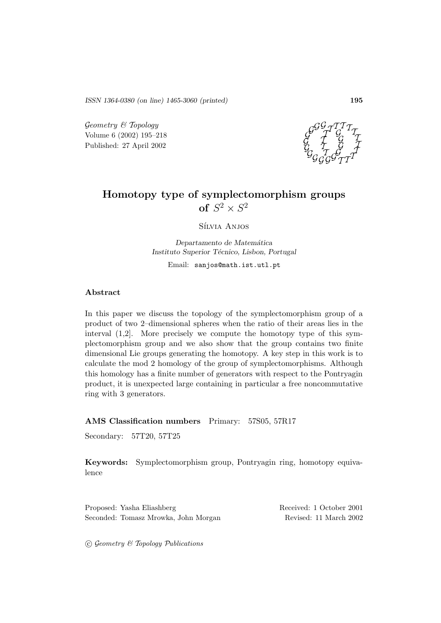*ISSN 1364-0380 (on line) 1465-3060 (printed)* **195**

Geometry & Topology Volume 6 (2002) 195–218 Published: 27 April 2002



# **Homotopy type of symplectomorphism groups of**  $S^2 \times S^2$

Sílvia Anjos

*Departamento de Matem´atica Instituto Superior T´ecnico, Lisbon, Portugal* Email: sanjos@math.ist.utl.pt

### **Abstract**

In this paper we discuss the topology of the symplectomorphism group of a product of two 2–dimensional spheres when the ratio of their areas lies in the interval (1,2]. More precisely we compute the homotopy type of this symplectomorphism group and we also show that the group contains two finite dimensional Lie groups generating the homotopy. A key step in this work is to calculate the mod 2 homology of the group of symplectomorphisms. Although this homology has a finite number of generators with respect to the Pontryagin product, it is unexpected large containing in particular a free noncommutative ring with 3 generators.

**AMS Classification numbers** Primary: 57S05, 57R17

Secondary: 57T20, 57T25

**Keywords:** Symplectomorphism group, Pontryagin ring, homotopy equivalence

Proposed: Yasha Eliashberg Received: 1 October 2001 Seconded: Tomasz Mrowka, John Morgan Revised: 11 March 2002

 $\odot$  Geometry & Topology Publications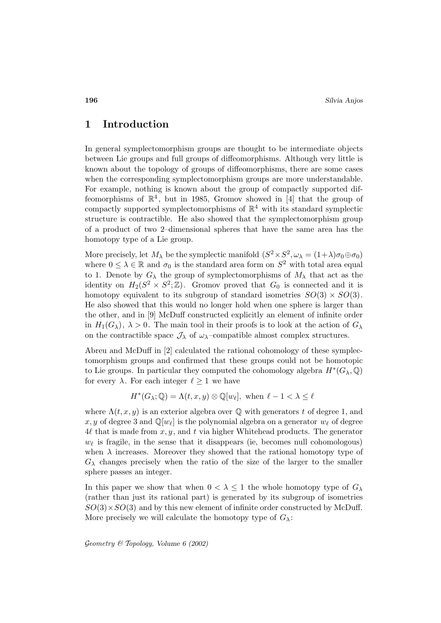# **1 Introduction**

In general symplectomorphism groups are thought to be intermediate objects between Lie groups and full groups of diffeomorphisms. Although very little is known about the topology of groups of diffeomorphisms, there are some cases when the corresponding symplectomorphism groups are more understandable. For example, nothing is known about the group of compactly supported diffeomorphisms of  $\mathbb{R}^4$ , but in 1985, Gromov showed in [4] that the group of compactly supported symplectomorphisms of  $\mathbb{R}^4$  with its standard symplectic structure is contractible. He also showed that the symplectomorphism group of a product of two 2–dimensional spheres that have the same area has the homotopy type of a Lie group.

More precisely, let  $M_\lambda$  be the symplectic manifold  $(S^2 \times S^2, \omega_\lambda = (1+\lambda)\sigma_0 \oplus \sigma_0)$ where  $0 \leq \lambda \in \mathbb{R}$  and  $\sigma_0$  is the standard area form on  $S^2$  with total area equal to 1. Denote by  $G_{\lambda}$  the group of symplectomorphisms of  $M_{\lambda}$  that act as the identity on  $H_2(S^2 \times S^2; \mathbb{Z})$ . Gromov proved that  $G_0$  is connected and it is homotopy equivalent to its subgroup of standard isometries  $SO(3) \times SO(3)$ . He also showed that this would no longer hold when one sphere is larger than the other, and in [9] McDuff constructed explicitly an element of infinite order in  $H_1(G_\lambda)$ ,  $\lambda > 0$ . The main tool in their proofs is to look at the action of  $G_\lambda$ on the contractible space  $\mathcal{J}_{\lambda}$  of  $\omega_{\lambda}$ -compatible almost complex structures.

Abreu and McDuff in [2] calculated the rational cohomology of these symplectomorphism groups and confirmed that these groups could not be homotopic to Lie groups. In particular they computed the cohomology algebra  $H^*(G_\lambda, \mathbb{Q})$ for every  $\lambda$ . For each integer  $\ell \geq 1$  we have

$$
H^*(G_{\lambda}; \mathbb{Q}) = \Lambda(t, x, y) \otimes \mathbb{Q}[w_{\ell}], \text{ when } \ell - 1 < \lambda \le \ell
$$

where  $\Lambda(t, x, y)$  is an exterior algebra over  $\mathbb Q$  with generators t of degree 1, and x, y of degree 3 and  $\mathbb{Q}[w_\ell]$  is the polynomial algebra on a generator  $w_\ell$  of degree  $4\ell$  that is made from  $x, y$ , and t via higher Whitehead products. The generator  $w_{\ell}$  is fragile, in the sense that it disappears (ie, becomes null cohomologous) when  $\lambda$  increases. Moreover they showed that the rational homotopy type of  $G_{\lambda}$  changes precisely when the ratio of the size of the larger to the smaller sphere passes an integer.

In this paper we show that when  $0 < \lambda < 1$  the whole homotopy type of  $G_{\lambda}$ (rather than just its rational part) is generated by its subgroup of isometries  $SO(3)\times SO(3)$  and by this new element of infinite order constructed by McDuff. More precisely we will calculate the homotopy type of  $G_\lambda$ :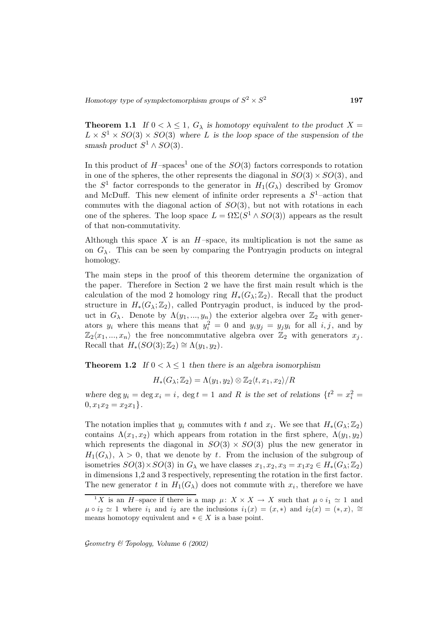**Theorem 1.1** *If*  $0 < \lambda \leq 1$ ,  $G_{\lambda}$  *is homotopy equivalent to the product*  $X =$  $L \times S^1 \times SO(3) \times SO(3)$  where L is the loop space of the suspension of the *smash product*  $S^1 \wedge SO(3)$ *.* 

In this product of  $H$ -spaces<sup>1</sup> one of the  $SO(3)$  factors corresponds to rotation in one of the spheres, the other represents the diagonal in  $SO(3) \times SO(3)$ , and the  $S^1$  factor corresponds to the generator in  $H_1(G_\lambda)$  described by Gromov and McDuff. This new element of infinite order represents a  $S^1$ -action that commutes with the diagonal action of  $SO(3)$ , but not with rotations in each one of the spheres. The loop space  $L = \Omega \Sigma (S^1 \wedge SO(3))$  appears as the result of that non-commutativity.

Although this space X is an  $H$ -space, its multiplication is not the same as on  $G_{\lambda}$ . This can be seen by comparing the Pontryagin products on integral homology.

The main steps in the proof of this theorem determine the organization of the paper. Therefore in Section 2 we have the first main result which is the calculation of the mod 2 homology ring  $H_*(G_\lambda;\mathbb{Z}_2)$ . Recall that the product structure in  $H_*(G_\lambda;\mathbb{Z}_2)$ , called Pontryagin product, is induced by the product in  $G_{\lambda}$ . Denote by  $\Lambda(y_1,...,y_n)$  the exterior algebra over  $\mathbb{Z}_2$  with generators  $y_i$  where this means that  $y_i^2 = 0$  and  $y_i y_j = y_j y_i$  for all  $i, j$ , and by  $\mathbb{Z}_2\langle x_1, ..., x_n \rangle$  the free noncommutative algebra over  $\mathbb{Z}_2$  with generators  $x_j$ . Recall that  $H_*(SO(3); \mathbb{Z}_2) \cong \Lambda(y_1, y_2)$ .

**Theorem 1.2** *If*  $0 < \lambda \le 1$  *then there is an algebra isomorphism* 

$$
H_*(G_{\lambda};\mathbb{Z}_2)=\Lambda(y_1,y_2)\otimes\mathbb{Z}_2\langle t,x_1,x_2\rangle/R
$$

where  $\deg y_i = \deg x_i = i$ ,  $\deg t = 1$  and R is the set of relations  $\{t^2 = x_i^2 = 1\}$  $0, x_1x_2 = x_2x_1$ .

The notation implies that  $y_i$  commutes with t and  $x_i$ . We see that  $H_*(G_\lambda;\mathbb{Z}_2)$ contains  $\Lambda(x_1, x_2)$  which appears from rotation in the first sphere,  $\Lambda(y_1, y_2)$ which represents the diagonal in  $SO(3) \times SO(3)$  plus the new generator in  $H_1(G_\lambda)$ ,  $\lambda > 0$ , that we denote by t. From the inclusion of the subgroup of isometries  $SO(3)\times SO(3)$  in  $G_\lambda$  we have classes  $x_1, x_2, x_3 = x_1x_2 \in H_*(G_\lambda;\mathbb{Z}_2)$ in dimensions 1,2 and 3 respectively, representing the rotation in the first factor. The new generator t in  $H_1(G_\lambda)$  does not commute with  $x_i$ , therefore we have

<sup>&</sup>lt;sup>1</sup>X is an H-space if there is a map  $\mu: X \times X \to X$  such that  $\mu \circ i_1 \simeq 1$  and  $\mu \circ i_2 \simeq 1$  where  $i_1$  and  $i_2$  are the inclusions  $i_1(x)=(x, *)$  and  $i_2(x)=(*, x), \approx$ means homotopy equivalent and  $* \in X$  is a base point.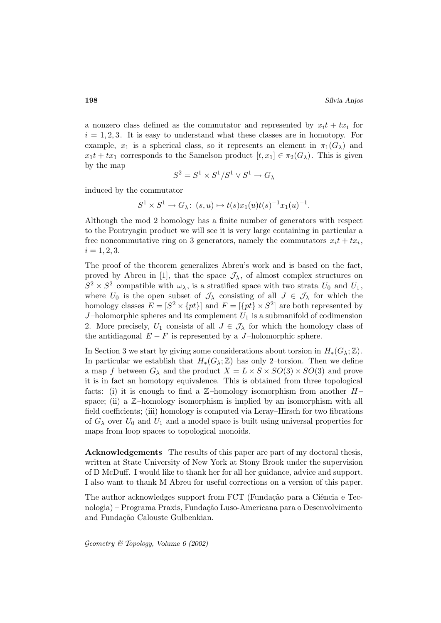a nonzero class defined as the commutator and represented by  $x_i t + tx_i$  for  $i = 1, 2, 3$ . It is easy to understand what these classes are in homotopy. For example,  $x_1$  is a spherical class, so it represents an element in  $\pi_1(G_\lambda)$  and  $x_1t + tx_1$  corresponds to the Samelson product  $[t, x_1] \in \pi_2(G_\lambda)$ . This is given by the map

$$
S^2=S^1\times S^1/S^1\vee S^1\to G_\lambda
$$

induced by the commutator

$$
S^1 \times S^1 \to G_{\lambda}: (s, u) \mapsto t(s)x_1(u)t(s)^{-1}x_1(u)^{-1}.
$$

Although the mod 2 homology has a finite number of generators with respect to the Pontryagin product we will see it is very large containing in particular a free noncommutative ring on 3 generators, namely the commutators  $x_i t + tx_i$ ,  $i = 1, 2, 3.$ 

The proof of the theorem generalizes Abreu's work and is based on the fact, proved by Abreu in [1], that the space  $\mathcal{J}_{\lambda}$ , of almost complex structures on  $S^2 \times S^2$  compatible with  $\omega_{\lambda}$ , is a stratified space with two strata  $U_0$  and  $U_1$ , where  $U_0$  is the open subset of  $\mathcal{J}_\lambda$  consisting of all  $J \in \mathcal{J}_\lambda$  for which the homology classes  $E = [S^2 \times \{pt\}]$  and  $F = [\{pt\} \times S^2]$  are both represented by  $J$ -holomorphic spheres and its complement  $U_1$  is a submanifold of codimension 2. More precisely,  $U_1$  consists of all  $J \in \mathcal{J}_{\lambda}$  for which the homology class of the antidiagonal  $E - F$  is represented by a J-holomorphic sphere.

In Section 3 we start by giving some considerations about torsion in  $H_*(G_\lambda;\mathbb{Z})$ . In particular we establish that  $H_*(G_\lambda;\mathbb{Z})$  has only 2–torsion. Then we define a map f between  $G_{\lambda}$  and the product  $X = L \times S \times SO(3) \times SO(3)$  and prove it is in fact an homotopy equivalence. This is obtained from three topological facts: (i) it is enough to find a  $\mathbb{Z}-$ homology isomorphism from another  $H$ space; (ii) a  $\mathbb{Z}-$ homology isomorphism is implied by an isomorphism with all field coefficients; (iii) homology is computed via Leray–Hirsch for two fibrations of  $G_{\lambda}$  over  $U_0$  and  $U_1$  and a model space is built using universal properties for maps from loop spaces to topological monoids.

**Acknowledgements** The results of this paper are part of my doctoral thesis, written at State University of New York at Stony Brook under the supervision of D McDuff. I would like to thank her for all her guidance, advice and support. I also want to thank M Abreu for useful corrections on a version of this paper.

The author acknowledges support from FCT (Fundação para a Ciência e Tecnologia) – Programa Praxis, Fundação Luso-Americana para o Desenvolvimento and Fundação Calouste Gulbenkian.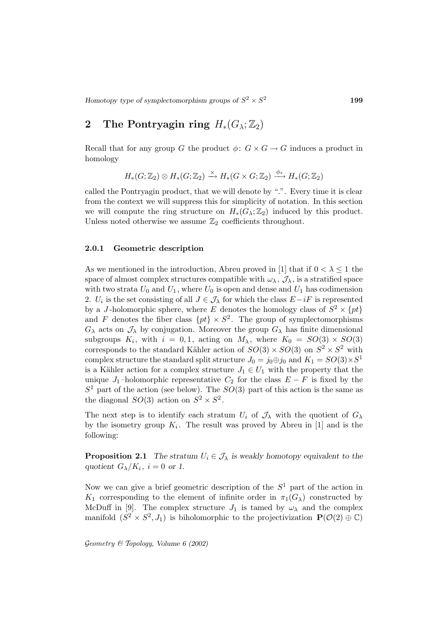# **2** The Pontryagin ring  $H_*(G_\lambda;\mathbb{Z}_2)$

Recall that for any group G the product  $\phi: G \times G \to G$  induces a product in homology

$$
H_*(G;\mathbb{Z}_2) \otimes H_*(G;\mathbb{Z}_2) \xrightarrow{\times} H_*(G \times G;\mathbb{Z}_2) \xrightarrow{\phi_*} H_*(G;\mathbb{Z}_2)
$$

called the Pontryagin product, that we will denote by ".". Every time it is clear from the context we will suppress this for simplicity of notation. In this section we will compute the ring structure on  $H_*(G_\lambda;\mathbb{Z}_2)$  induced by this product. Unless noted otherwise we assume  $\mathbb{Z}_2$  coefficients throughout.

#### **2.0.1 Geometric description**

As we mentioned in the introduction, Abreu proved in [1] that if  $0 < \lambda \leq 1$  the space of almost complex structures compatible with  $\omega_{\lambda}$ ,  $\mathcal{J}_{\lambda}$ , is a stratified space with two strata  $U_0$  and  $U_1$ , where  $U_0$  is open and dense and  $U_1$  has codimension 2.  $U_i$  is the set consisting of all  $J \in \mathcal{J}_\lambda$  for which the class  $E-iF$  is represented by a J-holomorphic sphere, where E denotes the homology class of  $S^2 \times \{pt\}$ and F denotes the fiber class  $\{pt\} \times S^2$ . The group of symplectomorphisms  $G_{\lambda}$  acts on  $\mathcal{J}_{\lambda}$  by conjugation. Moreover the group  $G_{\lambda}$  has finite dimensional subgroups  $K_i$ , with  $i = 0, 1$ , acting on  $M_{\lambda}$ , where  $K_0 = SO(3) \times SO(3)$ corresponds to the standard Kähler action of  $SO(3) \times SO(3)$  on  $S^2 \times S^2$  with complex structure the standard split structure  $J_0 = j_0 \oplus j_0$  and  $K_1 = SO(3) \times S^1$ is a Kähler action for a complex structure  $J_1 \in U_1$  with the property that the unique J<sub>1</sub>-holomorphic representative  $C_2$  for the class  $E - F$  is fixed by the  $S<sup>1</sup>$  part of the action (see below). The  $SO(3)$  part of this action is the same as the diagonal  $SO(3)$  action on  $S^2 \times S^2$ .

The next step is to identify each stratum  $U_i$  of  $\mathcal{J}_\lambda$  with the quotient of  $G_\lambda$ by the isometry group  $K_i$ . The result was proved by Abreu in [1] and is the following:

**Proposition 2.1** *The stratum*  $U_i \in \mathcal{J}_{\lambda}$  *is weakly homotopy equivalent to the quotient*  $G_{\lambda}/K_i$ ,  $i = 0$  or 1.

Now we can give a brief geometric description of the  $S<sup>1</sup>$  part of the action in K<sub>1</sub> corresponding to the element of infinite order in  $\pi_1(G_\lambda)$  constructed by McDuff in [9]. The complex structure  $J_1$  is tamed by  $\omega_{\lambda}$  and the complex manifold  $(S^2 \times S^2, J_1)$  is biholomorphic to the projectivization  $\mathbf{P}(\mathcal{O}(2) \oplus \mathbb{C})$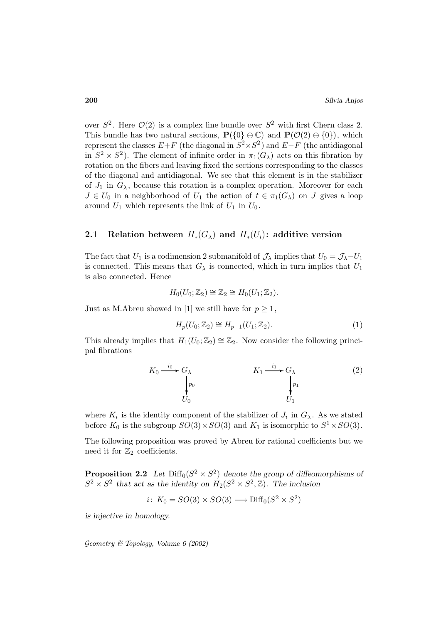over  $S^2$ . Here  $\mathcal{O}(2)$  is a complex line bundle over  $S^2$  with first Chern class 2. This bundle has two natural sections,  $P({0} \oplus \mathbb{C})$  and  $P(\mathcal{O}(2) \oplus {0})$ , which represent the classes  $E+F$  (the diagonal in  $S^2 \times S^2$ ) and  $E-F$  (the antidiagonal in  $S^2 \times S^2$ . The element of infinite order in  $\pi_1(G_\lambda)$  acts on this fibration by rotation on the fibers and leaving fixed the sections corresponding to the classes of the diagonal and antidiagonal. We see that this element is in the stabilizer of  $J_1$  in  $G_\lambda$ , because this rotation is a complex operation. Moreover for each  $J \in U_0$  in a neighborhood of  $U_1$  the action of  $t \in \pi_1(G_\lambda)$  on J gives a loop around  $U_1$  which represents the link of  $U_1$  in  $U_0$ .

## **2.1** Relation between  $H_*(G_\lambda)$  and  $H_*(U_i)$ : additive version

The fact that  $U_1$  is a codimension 2 submanifold of  $\mathcal{J}_{\lambda}$  implies that  $U_0 = \mathcal{J}_{\lambda} - U_1$ is connected. This means that  $G_{\lambda}$  is connected, which in turn implies that  $U_1$ is also connected. Hence

$$
H_0(U_0; \mathbb{Z}_2) \cong \mathbb{Z}_2 \cong H_0(U_1; \mathbb{Z}_2).
$$

Just as M.Abreu showed in [1] we still have for  $p \geq 1$ ,

$$
H_p(U_0; \mathbb{Z}_2) \cong H_{p-1}(U_1; \mathbb{Z}_2). \tag{1}
$$

This already implies that  $H_1(U_0;\mathbb{Z}_2) \cong \mathbb{Z}_2$ . Now consider the following principal fibrations

$$
K_0 \xrightarrow{i_0} G_\lambda
$$
\n
$$
\downarrow p_0
$$
\n
$$
U_0
$$
\n
$$
K_1 \xrightarrow{i_1} G_\lambda
$$
\n
$$
\downarrow p_1
$$
\n
$$
U_1
$$
\n(2)

where  $K_i$  is the identity component of the stabilizer of  $J_i$  in  $G_\lambda$ . As we stated before  $K_0$  is the subgroup  $SO(3) \times SO(3)$  and  $K_1$  is isomorphic to  $S^1 \times SO(3)$ .

The following proposition was proved by Abreu for rational coefficients but we need it for  $\mathbb{Z}_2$  coefficients.

**Proposition 2.2** *Let*  $\text{Diff}_0(S^2 \times S^2)$  *denote the group of diffeomorphisms of*  $S^2 \times S^2$  that act as the identity on  $H_2(S^2 \times S^2, \mathbb{Z})$ . The inclusion

$$
i\colon K_0 = SO(3) \times SO(3) \longrightarrow \text{Diff}_0(S^2 \times S^2)
$$

*is injective in homology.*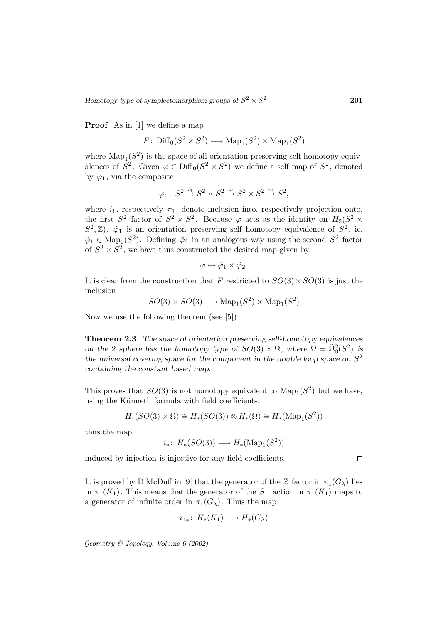**Proof** As in [1] we define a map

$$
F\colon\mathrm{Diff}_0(S^2\times S^2)\longrightarrow\mathrm{Map}_1(S^2)\times\mathrm{Map}_1(S^2)
$$

where  $\text{Map}_1(S^2)$  is the space of all orientation preserving self-homotopy equivalences of  $S^2$ . Given  $\varphi \in \text{Diff}_0(S^2 \times S^2)$  we define a self map of  $S^2$ , denoted by  $\tilde{\varphi}_1$ , via the composite

$$
\tilde{\varphi}_1\colon\thinspace S^2\xrightarrow{i_1} S^2\times S^2\xrightarrow{\varphi} S^2\times S^2\xrightarrow{\pi_1} S^2,
$$

where  $i_1$ , respectively  $\pi_1$ , denote inclusion into, respectively projection onto, the first  $S^2$  factor of  $S^2 \times S^2$ . Because  $\varphi$  acts as the identity on  $H_2(S^2 \times$  $(S^2, \mathbb{Z})$ ,  $\tilde{\varphi}_1$  is an orientation preserving self homotopy equivalence of  $S^2$ , ie,  $\tilde{\varphi}_1 \in \text{Map}_1(S^2)$ . Defining  $\tilde{\varphi}_2$  in an analogous way using the second  $S^2$  factor of  $S^2 \times S^2$ , we have thus constructed the desired map given by

$$
\varphi \mapsto \tilde{\varphi}_1 \times \tilde{\varphi}_2.
$$

It is clear from the construction that F restricted to  $SO(3) \times SO(3)$  is just the inclusion

$$
SO(3) \times SO(3) \longrightarrow \text{Map}_1(S^2) \times \text{Map}_1(S^2)
$$

Now we use the following theorem (see [5]).

**Theorem 2.3** *The space of orientation preserving self-homotopy equivalences on the 2–sphere has the homotopy type of*  $SO(3) \times \Omega$ , where  $\Omega = \tilde{\Omega}_0^2(S^2)$  *is the universal covering space for the component in the double loop space on*  $S^2$ *containing the constant based map.*

This proves that  $SO(3)$  is not homotopy equivalent to  $\text{Map}_1(S^2)$  but we have, using the Künneth formula with field coefficients,

$$
H_*(SO(3)\times\Omega)\cong H_*(SO(3))\otimes H_*(\Omega)\cong H_*(\mathrm{Map}_1(S^2))
$$

thus the map

$$
i_*\colon\thinspace H_*(SO(3))\longrightarrow H_*(\mathrm{Map}_1(S^2))
$$

induced by injection is injective for any field coefficients.

It is proved by D McDuff in [9] that the generator of the Z factor in  $\pi_1(G_\lambda)$  lies in  $\pi_1(K_1)$ . This means that the generator of the  $S^1$ -action in  $\pi_1(K_1)$  maps to a generator of infinite order in  $\pi_1(G_\lambda)$ . Thus the map

$$
i_{1*}\colon H_*(K_1)\longrightarrow H_*(G_\lambda)
$$

Geometry & Topology*, Volume 6 (2002)*

 $\Box$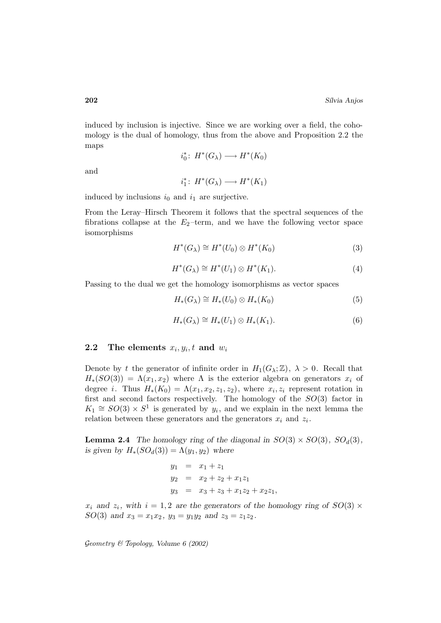induced by inclusion is injective. Since we are working over a field, the cohomology is the dual of homology, thus from the above and Proposition 2.2 the maps

$$
i_0^*\colon H^*(G_\lambda)\longrightarrow H^*(K_0)
$$

and

$$
i_1^* \colon H^*(G_\lambda) \longrightarrow H^*(K_1)
$$

induced by inclusions  $i_0$  and  $i_1$  are surjective.

From the Leray–Hirsch Theorem it follows that the spectral sequences of the fibrations collapse at the  $E_2$ -term, and we have the following vector space isomorphisms

$$
H^*(G_\lambda) \cong H^*(U_0) \otimes H^*(K_0) \tag{3}
$$

$$
H^*(G_\lambda) \cong H^*(U_1) \otimes H^*(K_1). \tag{4}
$$

Passing to the dual we get the homology isomorphisms as vector spaces

$$
H_*(G_\lambda) \cong H_*(U_0) \otimes H_*(K_0) \tag{5}
$$

$$
H_*(G_\lambda) \cong H_*(U_1) \otimes H_*(K_1). \tag{6}
$$

#### **2.2** The elements  $x_i, y_i, t$  and  $w_i$

Denote by t the generator of infinite order in  $H_1(G_\lambda;\mathbb{Z})$ ,  $\lambda > 0$ . Recall that  $H_*(SO(3)) = \Lambda(x_1, x_2)$  where  $\Lambda$  is the exterior algebra on generators  $x_i$  of degree *i*. Thus  $H_*(K_0) = \Lambda(x_1, x_2, z_1, z_2)$ , where  $x_i, z_i$  represent rotation in first and second factors respectively. The homology of the  $SO(3)$  factor in  $K_1 \cong SO(3) \times S^1$  is generated by  $y_i$ , and we explain in the next lemma the relation between these generators and the generators  $x_i$  and  $z_i$ .

**Lemma 2.4** *The homology ring of the diagonal in*  $SO(3) \times SO(3)$ *,*  $SO_d(3)$ *, is given by*  $H_*(SO_d(3)) = \Lambda(y_1, y_2)$  where

$$
y_1 = x_1 + z_1
$$
  
\n
$$
y_2 = x_2 + z_2 + x_1 z_1
$$
  
\n
$$
y_3 = x_3 + z_3 + x_1 z_2 + x_2 z_1
$$

 $x_i$  and  $z_i$ , with  $i = 1, 2$  are the generators of the homology ring of  $SO(3) \times$ SO(3) and  $x_3 = x_1x_2$ ,  $y_3 = y_1y_2$  and  $z_3 = z_1z_2$ .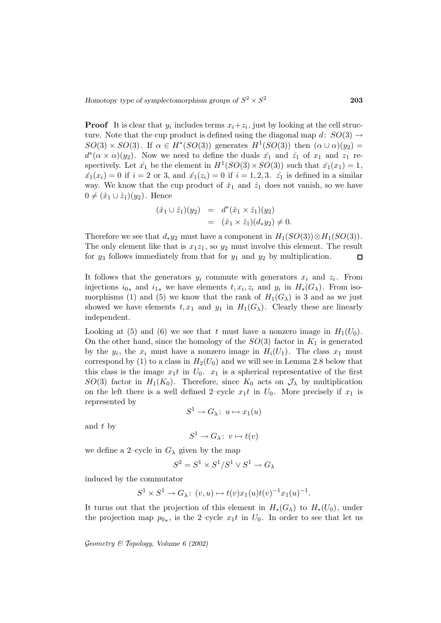**Proof** It is clear that  $y_i$  includes terms  $x_i + z_i$ , just by looking at the cell structure. Note that the cup product is defined using the diagonal map d:  $SO(3) \rightarrow$  $SO(3) \times SO(3)$ . If  $\alpha \in H^*(SO(3))$  generates  $H^1(SO(3))$  then  $(\alpha \cup \alpha)(y_2)$  =  $d^*(\alpha \times \alpha)(y_2)$ . Now we need to define the duals  $\hat{x_1}$  and  $\hat{z_1}$  of  $x_1$  and  $z_1$  respectively. Let  $\hat{x}_1$  be the element in  $H^1(SO(3) \times SO(3))$  such that  $\hat{x}_1(x_1) = 1$ ,  $\hat{x_1}(x_i) = 0$  if  $i = 2$  or 3, and  $\hat{x_1}(z_i) = 0$  if  $i = 1, 2, 3$ .  $\hat{z_1}$  is defined in a similar way. We know that the cup product of  $\hat{x}_1$  and  $\hat{z}_1$  does not vanish, so we have  $0 \neq (\hat{x}_1 \cup \hat{z}_1)(y_2)$ . Hence

$$
(\hat{x}_1 \cup \hat{z}_1)(y_2) = d^*(\hat{x}_1 \times \hat{z}_1)(y_2)
$$
  
= 
$$
(\hat{x}_1 \times \hat{z}_1)(d_*y_2) \neq 0.
$$

Therefore we see that  $d_*y_2$  must have a component in  $H_1(SO(3)) \otimes H_1(SO(3))$ . The only element like that is  $x_1z_1$ , so  $y_2$  must involve this element. The result for  $y_3$  follows immediately from that for  $y_1$  and  $y_2$  by multiplication.  $\Box$ 

It follows that the generators  $y_i$  commute with generators  $x_i$  and  $z_i$ . From injections  $i_{0*}$  and  $i_{1*}$  we have elements  $t, x_i, z_i$  and  $y_i$  in  $H_*(G_\lambda)$ . From isomorphisms (1) and (5) we know that the rank of  $H_1(G_\lambda)$  is 3 and as we just showed we have elements  $t, x_1$  and  $y_1$  in  $H_1(G_\lambda)$ . Clearly these are linearly independent.

Looking at (5) and (6) we see that t must have a nonzero image in  $H_1(U_0)$ . On the other hand, since the homology of the  $SO(3)$  factor in  $K_1$  is generated by the  $y_i$ , the  $x_i$  must have a nonzero image in  $H_i(U_1)$ . The class  $x_1$  must correspond by (1) to a class in  $H_2(U_0)$  and we will see in Lemma 2.8 below that this class is the image  $x_1t$  in  $U_0$ .  $x_1$  is a spherical representative of the first  $SO(3)$  factor in  $H_1(K_0)$ . Therefore, since  $K_0$  acts on  $\mathcal{J}_{\lambda}$  by multiplication on the left there is a well defined 2–cycle  $x_1t$  in  $U_0$ . More precisely if  $x_1$  is represented by

$$
S^1 \to G_{\lambda} \colon u \mapsto x_1(u)
$$

and t by

$$
S^1 \to G_{\lambda}: v \mapsto t(v)
$$

we define a 2–cycle in  $G_{\lambda}$  given by the map

$$
S^2=S^1\times S^1/S^1\vee S^1\to G_\lambda
$$

induced by the commutator

$$
S^1 \times S^1 \to G_{\lambda}: (v, u) \mapsto t(v)x_1(u)t(v)^{-1}x_1(u)^{-1}.
$$

It turns out that the projection of this element in  $H_*(G_\lambda)$  to  $H_*(U_0)$ , under the projection map  $p_{0*}$ , is the 2–cycle  $x_1t$  in  $U_0$ . In order to see that let us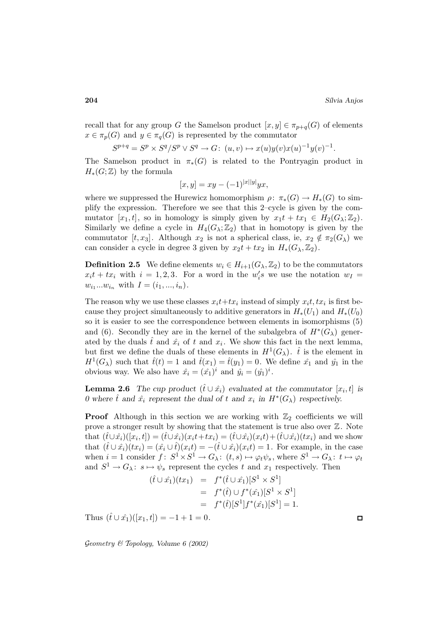recall that for any group G the Samelson product  $[x, y] \in \pi_{p+q}(G)$  of elements  $x \in \pi_p(G)$  and  $y \in \pi_q(G)$  is represented by the commutator

$$
S^{p+q} = S^p \times S^q / S^p \vee S^q \to G: (u, v) \mapsto x(u) y(v) x(u)^{-1} y(v)^{-1}.
$$

The Samelson product in  $\pi_*(G)$  is related to the Pontryagin product in  $H_*(G;\mathbb{Z})$  by the formula

$$
[x, y] = xy - (-1)^{|x||y|} yx,
$$

where we suppressed the Hurewicz homomorphism  $\rho: \pi_*(G) \to H_*(G)$  to simplify the expression. Therefore we see that this 2–cycle is given by the commutator  $[x_1, t]$ , so in homology is simply given by  $x_1t + tx_1 \in H_2(G_\lambda; \mathbb{Z}_2)$ . Similarly we define a cycle in  $H_4(G_\lambda;\mathbb{Z}_2)$  that in homotopy is given by the commutator  $[t, x_3]$ . Although  $x_2$  is not a spherical class, ie,  $x_2 \notin \pi_2(G_\lambda)$  we can consider a cycle in degree 3 given by  $x_2t + tx_2$  in  $H_*(G_\lambda, \mathbb{Z}_2)$ .

**Definition 2.5** We define elements  $w_i \in H_{i+1}(G_\lambda, \mathbb{Z}_2)$  to be the commutators  $x_i t + tx_i$  with  $i = 1, 2, 3$ . For a word in the  $w_i$ 's we use the notation  $w_I =$  $w_{i_1}...w_{i_n}$  with  $I = (i_1, ..., i_n)$ .

The reason why we use these classes  $x_i t+tx_i$  instead of simply  $x_i t, tx_i$  is first because they project simultaneously to additive generators in  $H_*(U_1)$  and  $H_*(U_0)$ so it is easier to see the correspondence between elements in isomorphisms (5) and (6). Secondly they are in the kernel of the subalgebra of  $H^*(G_\lambda)$  generated by the duals  $\hat{t}$  and  $\hat{x}_i$  of t and  $x_i$ . We show this fact in the next lemma, but first we define the duals of these elements in  $H^1(G_\lambda)$ .  $\hat{t}$  is the element in  $H^1(G_\lambda)$  such that  $\hat{t}(t) = 1$  and  $\hat{t}(x_1) = \hat{t}(y_1) = 0$ . We define  $\hat{x_1}$  and  $\hat{y_1}$  in the obvious way. We also have  $\hat{x}_i = (\hat{x}_1)^i$  and  $\hat{y}_i = (\hat{y}_1)^i$ .

**Lemma 2.6** *The cup product*  $(\hat{t} \cup \hat{x}_i)$  *evaluated at the commutator*  $[x_i, t]$  *is 0* where  $\hat{t}$  and  $\hat{x}_i$  represent the dual of t and  $x_i$  in  $H^*(G_\lambda)$  respectively.

**Proof** Although in this section we are working with  $\mathbb{Z}_2$  coefficients we will prove a stronger result by showing that the statement is true also over  $\mathbb{Z}$ . Note that  $(\hat{t}\cup\hat{x}_i)([x_i,t])=(\hat{t}\cup\hat{x}_i)(x_it+tx_i)=(\hat{t}\cup\hat{x}_i)(x_it)+(\hat{t}\cup\hat{x}_i)(tx_i)$  and we show that  $(\hat{t} \cup \hat{x}_i)(tx_i) = (\hat{x}_i \cup \hat{t})(x_i t) = -(\hat{t} \cup \hat{x}_i)(x_i t) = 1$ . For example, in the case when  $i = 1$  consider  $f: S^1 \times S^1 \to G_\lambda: (t, s) \mapsto \varphi_t \psi_s$ , where  $S^1 \to G_\lambda: t \mapsto \varphi_t$ and  $S^1 \to G_\lambda$ :  $s \mapsto \psi_s$  represent the cycles t and  $x_1$  respectively. Then

$$
(\hat{t} \cup \hat{x_1})(tx_1) = f^*(\hat{t} \cup \hat{x_1})[S^1 \times S^1]
$$
  
=  $f^*(\hat{t}) \cup f^*(\hat{x_1})[S^1 \times S^1]$   
=  $f^*(\hat{t})[S^1]f^*(\hat{x_1})[S^1] = 1.$ 

Thus  $(\hat{t} \cup \hat{x}_1)([x_1, t]) = -1 + 1 = 0.$ 

Geometry & Topology*, Volume 6 (2002)*

 $\Box$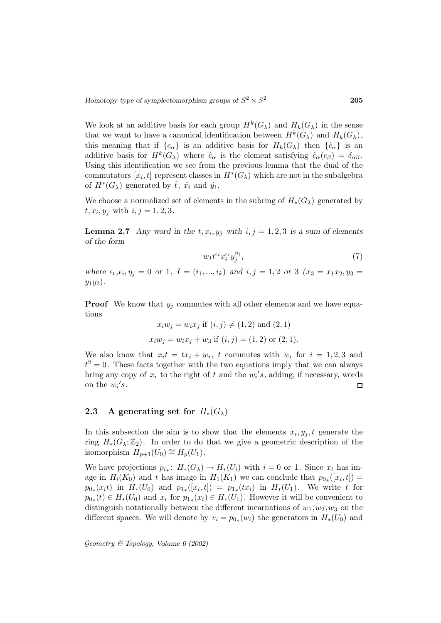We look at an additive basis for each group  $H^k(G_\lambda)$  and  $H_k(G_\lambda)$  in the sense that we want to have a canonical identification between  $H^k(G_\lambda)$  and  $H_k(G_\lambda)$ , this meaning that if  ${c_{\alpha}}$  is an additive basis for  $H_k(G_{\lambda})$  then  ${\hat{c}_{\alpha}}$  is an additive basis for  $H^k(G_\lambda)$  where  $\hat{c}_\alpha$  is the element satisfying  $\hat{c}_\alpha(c_\beta) = \delta_{\alpha\beta}$ . Using this identification we see from the previous lemma that the dual of the commutators  $[x_i, t]$  represent classes in  $H^*(G_\lambda)$  which are not in the subalgebra of  $H^*(G_\lambda)$  generated by  $\hat{t}$ ,  $\hat{x}_i$  and  $\hat{y}_i$ .

We choose a normalized set of elements in the subring of  $H_*(G_\lambda)$  generated by  $t, x_i, y_j$  with  $i, j = 1, 2, 3$ .

**Lemma 2.7** Any word in the  $t, x_i, y_j$  with  $i, j = 1, 2, 3$  is a sum of elements *of the form*

$$
w_I t^{\epsilon_t} x_i^{\epsilon_i} y_j^{\eta_j},\tag{7}
$$

*where*  $\epsilon_t, \epsilon_i, \eta_j = 0$  *or* 1*,*  $I = (i_1, ..., i_k)$  *and*  $i, j = 1, 2$  *or* 3  $(x_3 = x_1x_2, y_3 =$  $y_1y_2$ .

**Proof** We know that  $y_j$  commutes with all other elements and we have equations

$$
x_i w_j = w_i x_j
$$
 if  $(i, j) \neq (1, 2)$  and  $(2, 1)$   
 $x_i w_j = w_i x_j + w_3$  if  $(i, j) = (1, 2)$  or  $(2, 1)$ .

We also know that  $x_it = tx_i + w_i$ , t commutes with  $w_i$  for  $i = 1, 2, 3$  and  $t^2 = 0$ . These facts together with the two equations imply that we can always bring any copy of  $x_i$  to the right of t and the  $w_i$ 's, adding, if necessary, words on the  $w_i$ 's.  $\Box$ 

# **2.3** A generating set for  $H_*(G_\lambda)$

In this subsection the aim is to show that the elements  $x_i, y_j, t$  generate the ring  $H_*(G_\lambda;\mathbb{Z}_2)$ . In order to do that we give a geometric description of the isomorphism  $H_{p+1}(U_0) \cong H_p(U_1)$ .

We have projections  $p_{i*}$ :  $H_*(G_\lambda) \to H_*(U_i)$  with  $i = 0$  or 1. Since  $x_i$  has image in  $H_i(K_0)$  and t has image in  $H_1(K_1)$  we can conclude that  $p_{0*}([x_i, t]) =$  $p_{0*}(x_it)$  in  $H_*(U_0)$  and  $p_{1*}([x_i,t]) = p_{1*}(tx_i)$  in  $H_*(U_1)$ . We write t for  $p_{0*}(t) \in H_*(U_0)$  and  $x_i$  for  $p_{1*}(x_i) \in H_*(U_1)$ . However it will be convenient to distinguish notationally between the different incarnations of  $w_1, w_2, w_3$  on the different spaces. We will denote by  $v_i = p_{0*}(w_i)$  the generators in  $H_*(U_0)$  and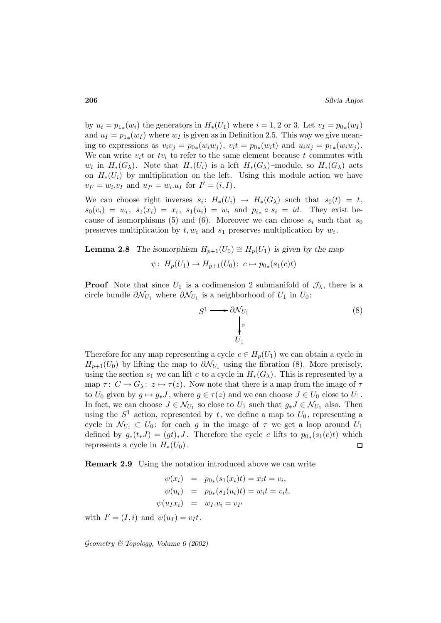by  $u_i = p_{1*}(w_i)$  the generators in  $H_*(U_1)$  where  $i = 1, 2$  or 3. Let  $v_I = p_{0*}(w_I)$ and  $u_I = p_{1*}(w_I)$  where  $w_I$  is given as in Definition 2.5. This way we give meaning to expressions as  $v_i v_j = p_{0*}(w_i w_j)$ ,  $v_i t = p_{0*}(w_i t)$  and  $u_i u_j = p_{1*}(w_i w_j)$ . We can write  $v_i t$  or  $t v_i$  to refer to the same element because t commutes with  $w_i$  in  $H_*(G_\lambda)$ . Note that  $H_*(U_i)$  is a left  $H_*(G_\lambda)$ –module, so  $H_*(G_\lambda)$  acts on  $H_*(U_i)$  by multiplication on the left. Using this module action we have  $v_{I'} = w_i \cdot v_I$  and  $u_{I'} = w_i \cdot u_I$  for  $I' = (i, I)$ .

We can choose right inverses  $s_i: H_*(U_i) \to H_*(G_\lambda)$  such that  $s_0(t) = t$ ,  $s_0(v_i) = w_i, s_1(x_i) = x_i, s_1(u_i) = w_i$  and  $p_{i*} \circ s_i = id$ . They exist because of isomorphisms (5) and (6). Moreover we can choose  $s_i$  such that  $s_0$ preserves multiplication by  $t, w_i$  and  $s_1$  preserves multiplication by  $w_i$ .

**Lemma 2.8** *The isomorphism*  $H_{p+1}(U_0) \cong H_p(U_1)$  *is given by the map*  $\psi: H_p(U_1) \to H_{p+1}(U_0): c \mapsto p_{0*}(s_1(c)t)$ 

**Proof** Note that since  $U_1$  is a codimension 2 submanifold of  $\mathcal{J}_{\lambda}$ , there is a circle bundle  $\partial \mathcal{N}_{U_1}$  where  $\partial \mathcal{N}_{U_1}$  is a neighborhood of  $U_1$  in  $U_0$ :

$$
S^1 \longrightarrow \partial \mathcal{N}_{U_1} \qquad (8)
$$

$$
\downarrow_{\pi} \qquad \qquad U_1
$$

Therefore for any map representing a cycle  $c \in H_p(U_1)$  we can obtain a cycle in  $H_{p+1}(U_0)$  by lifting the map to  $\partial \mathcal{N}_{U_1}$  using the fibration (8). More precisely, using the section  $s_1$  we can lift c to a cycle in  $H_*(G_\lambda)$ . This is represented by a map  $\tau: C \to G_{\lambda}: z \mapsto \tau(z)$ . Now note that there is a map from the image of  $\tau$ to  $U_0$  given by  $g \mapsto g_*J$ , where  $g \in \tau(z)$  and we can choose  $J \in U_0$  close to  $U_1$ . In fact, we can choose  $J \in \mathcal{N}_{U_1}$  so close to  $U_1$  such that  $g_* J \in \mathcal{N}_{U_1}$  also. Then using the  $S^1$  action, represented by t, we define a map to  $U_0$ , representing a cycle in  $\mathcal{N}_{U_1} \subset U_0$ : for each g in the image of  $\tau$  we get a loop around  $U_1$ defined by  $g_*(t_*J) = (gt)_*J$ . Therefore the cycle c lifts to  $p_{0*}(s_1(c)t)$  which represents a cycle in  $H_*(U_0)$ . represents a cycle in  $H_*(U_0)$ .

**Remark 2.9** Using the notation introduced above we can write

$$
\psi(x_i) = p_{0*}(s_1(x_i)t) = x_i t = v_i,\n\psi(u_i) = p_{0*}(s_1(u_i)t) = w_i t = v_i t,\n\psi(u_I x_i) = w_I \cdot v_i = v_{I'}
$$

with  $I' = (I,i)$  and  $\psi(u_I) = v_I t$ .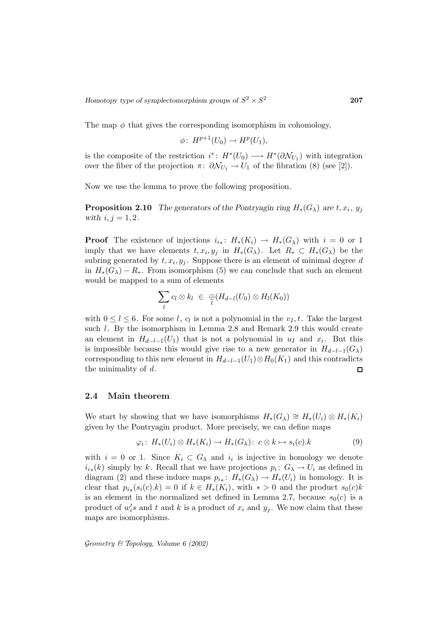The map  $\phi$  that gives the corresponding isomorphism in cohomology,

$$
\phi\colon H^{p+1}(U_0)\to H^p(U_1),
$$

is the composite of the restriction  $i^*$ :  $H^*(U_0) \longrightarrow H^*(\partial \mathcal{N}_{U_1})$  with integration over the fiber of the projection  $\pi: \partial \mathcal{N}_{U_1} \to U_1$  of the fibration (8) (see [2]).

Now we use the lemma to prove the following proposition.

**Proposition 2.10** *The generators of the Pontryagin ring*  $H_*(G_\lambda)$  *are*  $t, x_i, y_j$ *with*  $i, j = 1, 2$ *.* 

**Proof** The existence of injections  $i_{i*}: H_*(K_i) \to H_*(G_\lambda)$  with  $i = 0$  or 1 imply that we have elements  $t, x_i, y_j$  in  $H_*(G_\lambda)$ . Let  $R_* \subset H_*(G_\lambda)$  be the subring generated by  $t, x_i, y_j$ . Suppose there is an element of minimal degree d in  $H_*(G_\lambda) - R_*$ . From isomorphism (5) we can conclude that such an element would be mapped to a sum of elements

$$
\sum_{l} c_{l} \otimes k_{l} \in \bigoplus_{l} (H_{d-l}(U_{0}) \otimes H_{l}(K_{0}))
$$

with  $0 \leq l \leq 6$ . For some l,  $c_l$  is not a polynomial in the  $v_I, t$ . Take the largest such l. By the isomorphism in Lemma 2.8 and Remark 2.9 this would create an element in  $H_{d-l-1}(U_1)$  that is not a polynomial in  $u_I$  and  $x_i$ . But this is impossible because this would give rise to a new generator in  $H_{d-l-1}(G_\lambda)$ corresponding to this new element in  $H_{d-l-1}(U_1)\otimes H_0(K_1)$  and this contradicts the minimality of d. the minimality of  $d$ .

#### **2.4 Main theorem**

We start by showing that we have isomorphisms  $H_*(G_\lambda) \cong H_*(U_i) \otimes H_*(K_i)$ given by the Pontryagin product. More precisely, we can define maps

$$
\varphi_i\colon H_*(U_i)\otimes H_*(K_i)\to H_*(G_\lambda)\colon c\otimes k\mapsto s_i(c).k\tag{9}
$$

with  $i = 0$  or 1. Since  $K_i \subset G_\lambda$  and  $i_i$  is injective in homology we denote  $i_{i*}(k)$  simply by k. Recall that we have projections  $p_i: G_\lambda \to U_i$  as defined in diagram (2) and these induce maps  $p_{i_*}: H_*(G_\lambda) \to H_*(U_i)$  in homology. It is clear that  $p_{i*}(s_i(c).k) = 0$  if  $k \in H_*(K_i)$ , with  $* > 0$  and the product  $s_0(c)k$ is an element in the normalized set defined in Lemma 2.7, because  $s_0(c)$  is a product of  $w_i$ 's and t and k is a product of  $x_i$  and  $y_j$ . We now claim that these maps are isomorphisms.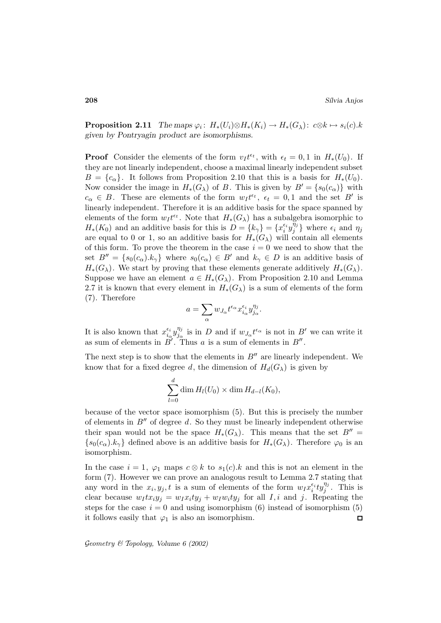**Proposition 2.11** *The maps*  $\varphi_i$ :  $H_*(U_i) \otimes H_*(K_i) \to H_*(G_\lambda)$ :  $c \otimes k \mapsto s_i(c)$ .k *given by Pontryagin product are isomorphisms.*

**Proof** Consider the elements of the form  $v_I t^{\epsilon_t}$ , with  $\epsilon_t = 0, 1$  in  $H_*(U_0)$ . If they are not linearly independent, choose a maximal linearly independent subset  $B = \{c_{\alpha}\}\.$  It follows from Proposition 2.10 that this is a basis for  $H_*(U_0)$ . Now consider the image in  $H_*(G_\lambda)$  of B. This is given by  $B' = \{s_0(c_\alpha)\}\$  with  $c_{\alpha} \in B$ . These are elements of the form  $w_I t^{\epsilon_t}$ ,  $\epsilon_t = 0, 1$  and the set B' is linearly independent. Therefore it is an additive basis for the space spanned by elements of the form  $w_I t^{\epsilon_t}$ . Note that  $H_*(G_\lambda)$  has a subalgebra isomorphic to  $H_*(K_0)$  and an additive basis for this is  $D = \{k_\gamma\} = \{x_i^{\epsilon_i}y_j^{\eta_j}\}\$  where  $\epsilon_i$  and  $\eta_j$ are equal to 0 or 1, so an additive basis for  $H_*(G_\lambda)$  will contain all elements of this form. To prove the theorem in the case  $i = 0$  we need to show that the set  $B'' = \{s_0(c_\alpha) \cdot k_\gamma\}$  where  $s_0(c_\alpha) \in B'$  and  $k_\gamma \in D$  is an additive basis of  $H_*(G_\lambda)$ . We start by proving that these elements generate additively  $H_*(G_\lambda)$ . Suppose we have an element  $a \in H_*(G_\lambda)$ . From Proposition 2.10 and Lemma 2.7 it is known that every element in  $H_*(G_\lambda)$  is a sum of elements of the form (7). Therefore

$$
a=\sum_{\alpha}w_{J_{\alpha}}t^{\epsilon_{\alpha}}x_{i_{\alpha}}^{\epsilon_{i}}y_{j_{\alpha}}^{\eta_{j}}.
$$

It is also known that  $x_{i_{\alpha}}^{\epsilon_i} y_{j_{\alpha}}^{\eta_j}$  is in D and if  $w_{J_{\alpha}} t^{\epsilon_{\alpha}}$  is not in B' we can write it as sum of elements in  $B'$ . Thus a is a sum of elements in  $B''$ .

The next step is to show that the elements in  $B''$  are linearly independent. We know that for a fixed degree d, the dimension of  $H_d(G_\lambda)$  is given by

$$
\sum_{l=0}^d \dim H_l(U_0) \times \dim H_{d-l}(K_0),
$$

because of the vector space isomorphism (5). But this is precisely the number of elements in  $B''$  of degree d. So they must be linearly independent otherwise their span would not be the space  $H_*(G_\lambda)$ . This means that the set  $B'' =$  $\{s_0(c_\alpha) \cdot k_\gamma\}$  defined above is an additive basis for  $H_*(G_\lambda)$ . Therefore  $\varphi_0$  is an isomorphism.

In the case  $i = 1, \varphi_1$  maps  $c \otimes k$  to  $s_1(c)$ . A and this is not an element in the form (7). However we can prove an analogous result to Lemma 2.7 stating that any word in the  $x_i, y_j, t$  is a sum of elements of the form  $w_I x_i^{\epsilon_i} t y_j^{\eta_j}$ . This is clear because  $w_Itx_iy_j = w_Ity_j + w_Ity_j$  for all I, i and j. Repeating the steps for the case  $i = 0$  and using isomorphism (6) instead of isomorphism (5) it follows easily that  $\varphi_1$  is also an isomorphism.  $\Box$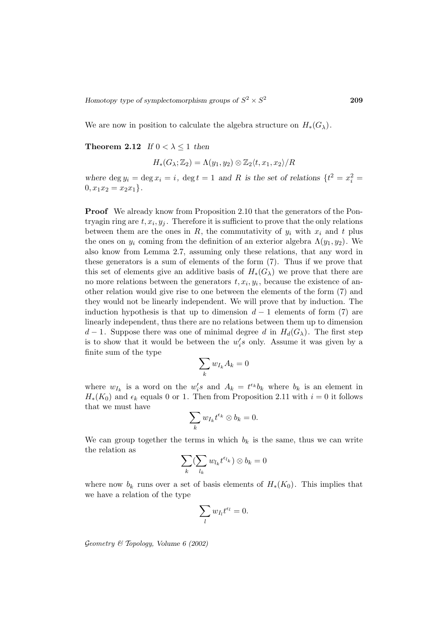We are now in position to calculate the algebra structure on  $H_*(G_\lambda)$ .

**Theorem 2.12** *If*  $0 < \lambda \leq 1$  *then* 

$$
H_*(G_{\lambda}; \mathbb{Z}_2) = \Lambda(y_1, y_2) \otimes \mathbb{Z}_2 \langle t, x_1, x_2 \rangle / R
$$

where  $\deg y_i = \deg x_i = i$ ,  $\deg t = 1$  and R is the set of relations  $\{t^2 = x_i^2 = 1\}$  $0, x_1x_2 = x_2x_1$ .

**Proof** We already know from Proposition 2.10 that the generators of the Pontryagin ring are  $t, x_i, y_j$ . Therefore it is sufficient to prove that the only relations between them are the ones in R, the commutativity of  $y_i$  with  $x_i$  and t plus the ones on  $y_i$  coming from the definition of an exterior algebra  $\Lambda(y_1, y_2)$ . We also know from Lemma 2.7, assuming only these relations, that any word in these generators is a sum of elements of the form (7). Thus if we prove that this set of elements give an additive basis of  $H_*(G_\lambda)$  we prove that there are no more relations between the generators  $t, x_i, y_i$ , because the existence of another relation would give rise to one between the elements of the form (7) and they would not be linearly independent. We will prove that by induction. The induction hypothesis is that up to dimension  $d-1$  elements of form (7) are linearly independent, thus there are no relations between them up to dimension  $d-1$ . Suppose there was one of minimal degree d in  $H_d(G_\lambda)$ . The first step is to show that it would be between the  $w_i$ 's only. Assume it was given by a finite sum of the type

$$
\sum_k w_{I_k} A_k = 0
$$

where  $w_{I_k}$  is a word on the  $w_i$ 's and  $A_k = t^{\epsilon_k}b_k$  where  $b_k$  is an element in  $H_*(K_0)$  and  $\epsilon_k$  equals 0 or 1. Then from Proposition 2.11 with  $i = 0$  it follows that we must have

$$
\sum_k w_{I_k} t^{\epsilon_k} \otimes b_k = 0.
$$

We can group together the terms in which  $b_k$  is the same, thus we can write the relation as

$$
\sum_k (\sum_{l_k} w_{l_k} t^{\epsilon_{l_k}}) \otimes b_k = 0
$$

where now  $b_k$  runs over a set of basis elements of  $H_*(K_0)$ . This implies that we have a relation of the type

$$
\sum_{l} w_{I_l} t^{\epsilon_l} = 0.
$$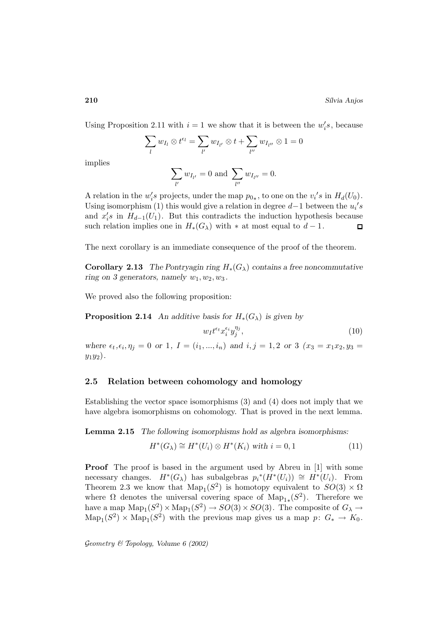Using Proposition 2.11 with  $i = 1$  we show that it is between the  $w_i$ 's, because

$$
\sum_{l} w_{I_l} \otimes t^{\epsilon_l} = \sum_{l'} w_{I_{l'}} \otimes t + \sum_{l''} w_{I_{l''}} \otimes 1 = 0
$$

implies

$$
\sum_{l'} w_{I_{l'}} = 0 \text{ and } \sum_{l''} w_{I_{l''}} = 0.
$$

A relation in the  $w_i$ 's projects, under the map  $p_{0*}$ , to one on the  $v_i$ 's in  $H_d(U_0)$ . Using isomorphism (1) this would give a relation in degree  $d-1$  between the  $u_i$ 's and  $x_i$ 's in  $H_{d-1}(U_1)$ . But this contradicts the induction hypothesis because such relation implies one in  $H_*(G_\lambda)$  with  $*$  at most equal to  $d-1$ . П

The next corollary is an immediate consequence of the proof of the theorem.

**Corollary 2.13** *The Pontryagin ring*  $H_*(G_\lambda)$  *contains a free noncommutative ring on 3 generators, namely*  $w_1, w_2, w_3$ .

We proved also the following proposition:

**Proposition 2.14** An additive basis for  $H_*(G_\lambda)$  is given by

$$
w_I t^{\epsilon_t} x_i^{\epsilon_i} y_j^{\eta_j},\tag{10}
$$

*where*  $\epsilon_t, \epsilon_i, \eta_j = 0$  *or* 1*,*  $I = (i_1, ..., i_n)$  *and*  $i, j = 1, 2$  *or* 3  $(x_3 = x_1x_2, y_3 =$  $y_1y_2$ .

#### **2.5 Relation between cohomology and homology**

Establishing the vector space isomorphisms (3) and (4) does not imply that we have algebra isomorphisms on cohomology. That is proved in the next lemma.

**Lemma 2.15** *The following isomorphisms hold as algebra isomorphisms:*

$$
H^*(G_\lambda) \cong H^*(U_i) \otimes H^*(K_i) \text{ with } i = 0, 1 \tag{11}
$$

**Proof** The proof is based in the argument used by Abreu in [1] with some necessary changes.  $H^*(G_\lambda)$  has subalgebras  $p_i^*(H^*(U_i)) \cong H^*(U_i)$ . From Theorem 2.3 we know that  $\text{Map}_1(S^2)$  is homotopy equivalent to  $SO(3) \times \Omega$ where  $\Omega$  denotes the universal covering space of Map<sub>1</sub><sub>\*</sub>(S<sup>2</sup>). Therefore we have a map  $\text{Map}_1(S^2) \times \text{Map}_1(S^2) \to SO(3) \times SO(3)$ . The composite of  $G_\lambda \to$  $\text{Map}_1(S^2) \times \text{Map}_1(S^2)$  with the previous map gives us a map  $p: G_* \to K_0$ .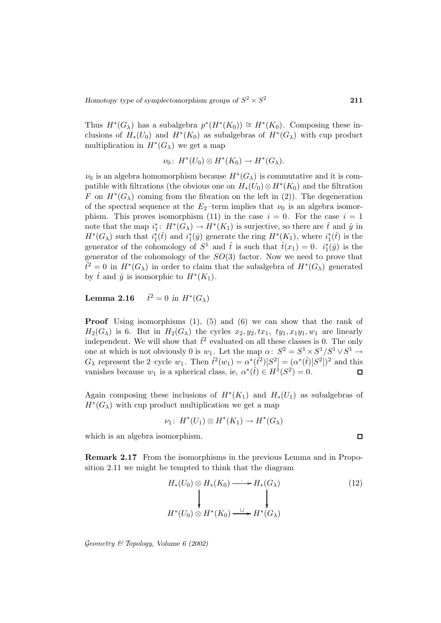Thus  $H^*(G_\lambda)$  has a subalgebra  $p^*(H^*(K_0)) \cong H^*(K_0)$ . Composing these inclusions of  $H_*(U_0)$  and  $H^*(K_0)$  as subalgebras of  $H^*(G_\lambda)$  with cup product multiplication in  $H^*(G_\lambda)$  we get a map

$$
\nu_0\colon H^*(U_0)\otimes H^*(K_0)\to H^*(G_\lambda).
$$

 $\nu_0$  is an algebra homomorphism because  $H^*(G_\lambda)$  is commutative and it is compatible with filtrations (the obvious one on  $H_*(U_0) \otimes H^*(K_0)$  and the filtration F on  $H^*(G_\lambda)$  coming from the fibration on the left in (2)). The degeneration of the spectral sequence at the  $E_2$ -term implies that  $\nu_0$  is an algebra isomorphism. This proves isomorphism (11) in the case  $i = 0$ . For the case  $i = 1$ note that the map  $i_1^*: H^*(G_\lambda) \to H^*(K_1)$  is surjective, so there are  $\hat{t}$  and  $\hat{y}$  in  $H^*(G_\lambda)$  such that  $i_1^*(\hat{t})$  and  $i_1^*(\hat{y})$  generate the ring  $H^*(K_1)$ , where  $i_1^*(\hat{t})$  is the generator of the cohomology of  $S^1$  and  $\hat{t}$  is such that  $\hat{t}(x_1) = 0$ .  $i_1^*(\hat{y})$  is the generator of the cohomology of the  $SO(3)$  factor. Now we need to prove that  $\hat{t}^2 = 0$  in  $H^*(G_\lambda)$  in order to claim that the subalgebra of  $H^*(G_\lambda)$  generated by  $\hat{t}$  and  $\hat{y}$  is isomorphic to  $H^*(K_1)$ .

Lemma 2.16  $\hat{t}^2 = 0$  in  $H^*(G_\lambda)$ 

**Proof** Using isomorphisms  $(1)$ ,  $(5)$  and  $(6)$  we can show that the rank of  $H_2(G_\lambda)$  is 6. But in  $H_2(G_\lambda)$  the cycles  $x_2, y_2, tx_1, ty_1, xy_1, w_1$  are linearly independent. We will show that  $\hat{t}^2$  evaluated on all these classes is 0. The only one at which is not obviously 0 is  $w_1$ . Let the map  $\alpha: S^2 = S^1 \times S^1 / S^1 \times S^1 \rightarrow$  $G_{\lambda}$  represent the 2-cycle  $w_1$ . Then  $\hat{t}^2(w_1) = \alpha^*(\hat{t}^2)[S^2] = (\alpha^*(\hat{t})[S^2])^2$  and this vanishes because  $w_1$  is a spherical class, ie,  $\alpha^*(\hat{t}) \in H^1(S^2) = 0$ .  $\blacksquare$ 

Again composing these inclusions of  $H^*(K_1)$  and  $H_*(U_1)$  as subalgebras of  $H^*(G_\lambda)$  with cup product multiplication we get a map

$$
\nu_1\colon H^*(U_1)\otimes H^*(K_1)\to H^*(G_\lambda)
$$

which is an algebra isomorphism.

**Remark 2.17** From the isomorphisms in the previous Lemma and in Proposition 2.11 we might be tempted to think that the diagram

$$
H_*(U_0) \otimes H_*(K_0) \longrightarrow H_*(G_\lambda)
$$
\n
$$
\downarrow \qquad \qquad \downarrow
$$
\n
$$
H^*(U_0) \otimes H^*(K_0) \xrightarrow{\cup} H^*(G_\lambda)
$$
\n
$$
(12)
$$

Geometry & Topology*, Volume 6 (2002)*

 $\Box$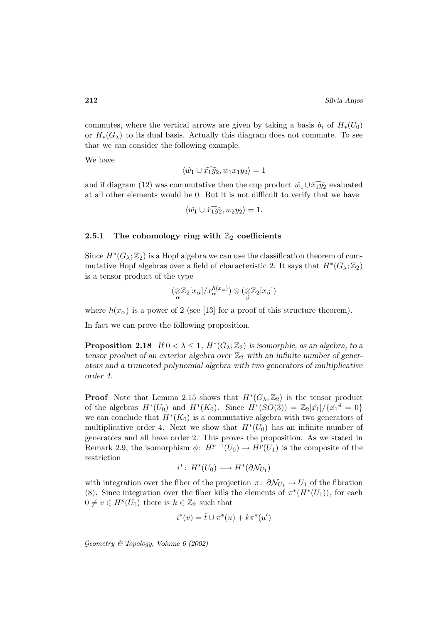commutes, where the vertical arrows are given by taking a basis  $b_i$  of  $H_*(U_0)$ or  $H_*(G_\lambda)$  to its dual basis. Actually this diagram does not commute. To see that we can consider the following example.

We have

$$
\langle \hat{w_1} \cup \widehat{x_1 y_2}, w_1 x_1 y_2 \rangle = 1
$$

and if diagram (12) was commutative then the cup product  $\hat{w_1} \cup \hat{x_1 y_2}$  evaluated at all other elements would be 0. But it is not difficult to verify that we have

$$
\langle \hat{w_1} \cup \widehat{x_1y_2}, w_2y_2 \rangle = 1.
$$

#### **2.5.1** The cohomology ring with  $\mathbb{Z}_2$  coefficients

Since  $H^*(G_\lambda;\mathbb{Z}_2)$  is a Hopf algebra we can use the classification theorem of commutative Hopf algebras over a field of characteristic 2. It says that  $H^*(G_\lambda;\mathbb{Z}_2)$ is a tensor product of the type

$$
(\mathop{\otimes}\limits_{\alpha} \mathbb{Z}_2[x_\alpha]/x_\alpha^{h(x_\alpha)}) \otimes (\mathop{\otimes}\limits_{\beta} \mathbb{Z}_2[x_\beta])
$$

where  $h(x_\alpha)$  is a power of 2 (see [13] for a proof of this structure theorem).

In fact we can prove the following proposition.

**Proposition 2.18** *If*  $0 < \lambda \leq 1$ ,  $H^*(G_\lambda;\mathbb{Z}_2)$  *is isomorphic, as an algebra, to a tensor product of an exterior algebra over*  $\mathbb{Z}_2$  *with an infinite number of generators and a truncated polynomial algebra with two generators of multiplicative order 4.*

**Proof** Note that Lemma 2.15 shows that  $H^*(G_\lambda;\mathbb{Z}_2)$  is the tensor product of the algebras  $H^*(U_0)$  and  $H^*(K_0)$ . Since  $H^*(SO(3)) = \mathbb{Z}_2[\hat{x}_1]/\{\hat{x}_1^4 = 0\}$ we can conclude that  $H^*(K_0)$  is a commutative algebra with two generators of multiplicative order 4. Next we show that  $H^*(U_0)$  has an infinite number of generators and all have order 2. This proves the proposition. As we stated in Remark 2.9, the isomorphism  $\phi: H^{p+1}(U_0) \to H^p(U_1)$  is the composite of the restriction

$$
i^* \colon H^*(U_0) \longrightarrow H^*(\partial \mathcal{N}_{U_1})
$$

with integration over the fiber of the projection  $\pi: \partial \mathcal{N}_{U_1} \to U_1$  of the fibration (8). Since integration over the fiber kills the elements of  $\pi^*(H^*(U_1))$ , for each  $0 \neq v \in H^p(U_0)$  there is  $k \in \mathbb{Z}_2$  such that

$$
i^*(v) = \hat{t} \cup \pi^*(u) + k\pi^*(u')
$$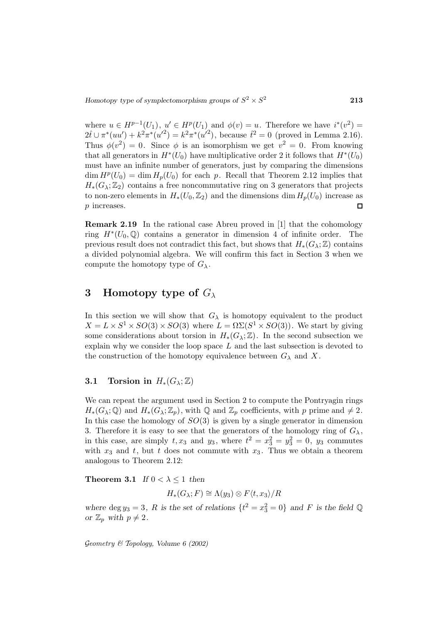where  $u \in H^{p-1}(U_1)$ ,  $u' \in H^p(U_1)$  and  $\phi(v) = u$ . Therefore we have  $i^*(v^2) =$  $2\hat{t} \cup \pi^*(uu') + k^2\pi^*(u'^2) = k^2\pi^*(u'^2)$ , because  $\hat{t}^2 = 0$  (proved in Lemma 2.16). Thus  $\phi(v^2) = 0$ . Since  $\phi$  is an isomorphism we get  $v^2 = 0$ . From knowing that all generators in  $H^*(U_0)$  have multiplicative order 2 it follows that  $H^*(U_0)$ must have an infinite number of generators, just by comparing the dimensions  $\dim H^p(U_0) = \dim H_p(U_0)$  for each p. Recall that Theorem 2.12 implies that  $H_*(G_\lambda;\mathbb{Z}_2)$  contains a free noncommutative ring on 3 generators that projects to non-zero elements in  $H_*(U_0, \mathbb{Z}_2)$  and the dimensions dim  $H_p(U_0)$  increase as <br>*p* increases. p increases.

**Remark 2.19** In the rational case Abreu proved in [1] that the cohomology ring  $H^*(U_0, \mathbb{Q})$  contains a generator in dimension 4 of infinite order. The previous result does not contradict this fact, but shows that  $H_*(G_\lambda;\mathbb{Z})$  contains a divided polynomial algebra. We will confirm this fact in Section 3 when we compute the homotopy type of  $G_{\lambda}$ .

# **3 Homotopy type of** G<sup>λ</sup>

In this section we will show that  $G_{\lambda}$  is homotopy equivalent to the product  $X = L \times S^1 \times SO(3) \times SO(3)$  where  $L = \Omega \Sigma (S^1 \times SO(3))$ . We start by giving some considerations about torsion in  $H_*(G_\lambda;\mathbb{Z})$ . In the second subsection we explain why we consider the loop space  $L$  and the last subsection is devoted to the construction of the homotopy equivalence between  $G_{\lambda}$  and X.

#### **3.1 Torsion in**  $H_*(G_\lambda;\mathbb{Z})$

We can repeat the argument used in Section 2 to compute the Pontryagin rings  $H_*(G_\lambda;\mathbb{Q})$  and  $H_*(G_\lambda;\mathbb{Z}_p)$ , with  $\mathbb Q$  and  $\mathbb{Z}_p$  coefficients, with p prime and  $\neq 2$ . In this case the homology of  $SO(3)$  is given by a single generator in dimension 3. Therefore it is easy to see that the generators of the homology ring of  $G_{\lambda}$ , in this case, are simply  $t, x_3$  and  $y_3$ , where  $t^2 = x_3^2 = y_3^2 = 0$ ,  $y_3$  commutes with  $x_3$  and t, but t does not commute with  $x_3$ . Thus we obtain a theorem analogous to Theorem 2.12:

**Theorem 3.1** *If*  $0 < \lambda \leq 1$  *then* 

$$
H_*(G_\lambda; F) \cong \Lambda(y_3) \otimes F\langle t, x_3 \rangle / R
$$

where  $\deg y_3 = 3$ , R is the set of relations  $\{t^2 = x_3^2 = 0\}$  and F is the field Q *or*  $\mathbb{Z}_p$  *with*  $p \neq 2$ *.*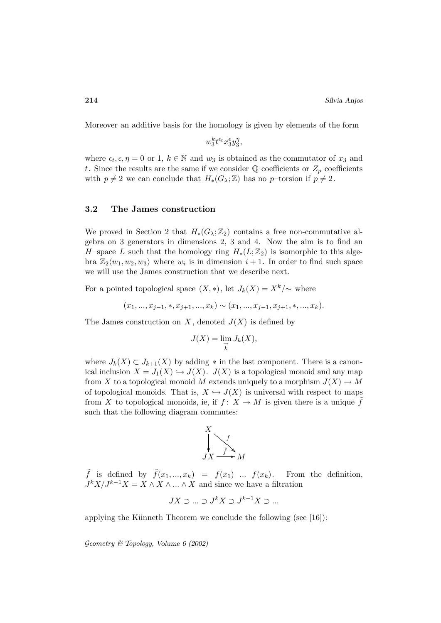Moreover an additive basis for the homology is given by elements of the form

 $w_3^k t^{\epsilon_t} x_3^{\epsilon} y_3^{\eta}$ ,

where  $\epsilon_t, \epsilon, \eta = 0$  or 1,  $k \in \mathbb{N}$  and  $w_3$  is obtained as the commutator of  $x_3$  and t. Since the results are the same if we consider  $\mathbb Q$  coefficients or  $Z_p$  coefficients with  $p \neq 2$  we can conclude that  $H_*(G_\lambda;\mathbb{Z})$  has no p–torsion if  $p \neq 2$ .

### **3.2 The James construction**

We proved in Section 2 that  $H_*(G_\lambda;\mathbb{Z}_2)$  contains a free non-commutative algebra on 3 generators in dimensions 2, 3 and 4. Now the aim is to find an H-space L such that the homology ring  $H_*(L;\mathbb{Z}_2)$  is isomorphic to this algebra  $\mathbb{Z}_2\langle w_1, w_2, w_3 \rangle$  where  $w_i$  is in dimension  $i+1$ . In order to find such space we will use the James construction that we describe next.

For a pointed topological space  $(X, *)$ , let  $J_k(X) = X^k/\sim$  where

$$
(x_1, ..., x_{j-1}, *, x_{j+1}, ..., x_k) \sim (x_1, ..., x_{j-1}, x_{j+1}, *, ..., x_k).
$$

The James construction on X, denoted  $J(X)$  is defined by

$$
J(X) = \lim_{\substack{\to \\ k}} J_k(X),
$$

where  $J_k(X) \subset J_{k+1}(X)$  by adding  $*$  in the last component. There is a canonical inclusion  $X = J_1(X) \hookrightarrow J(X)$ .  $J(X)$  is a topological monoid and any map from X to a topological monoid M extends uniquely to a morphism  $J(X) \to M$ of topological monoids. That is,  $X \hookrightarrow J(X)$  is universal with respect to maps from X to topological monoids, ie, if  $f: X \to M$  is given there is a unique  $\tilde{f}$ such that the following diagram commutes:



 $\tilde{f}$  is defined by  $\tilde{f}(x_1, ..., x_k) = f(x_1) \dots f(x_k)$ . From the definition,  $J^k X/J^{k-1} X = X \wedge X \wedge ... \wedge X$  and since we have a filtration

$$
JX \supset \dots \supset J^k X \supset J^{k-1} X \supset \dots
$$

applying the Künneth Theorem we conclude the following (see  $[16]$ ):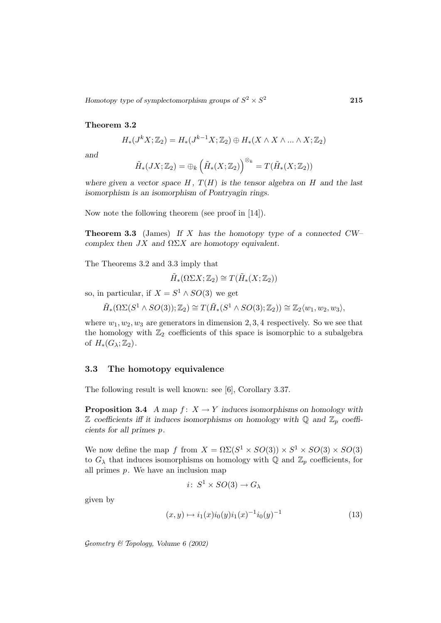#### **Theorem 3.2**

$$
H_*(J^k X; \mathbb{Z}_2) = H_*(J^{k-1} X; \mathbb{Z}_2) \oplus H_*(X \wedge X \wedge \dots \wedge X; \mathbb{Z}_2)
$$

*and*

$$
\tilde{H}_*(JX;\mathbb{Z}_2)=\oplus_k\left(\tilde{H}_*(X;\mathbb{Z}_2)\right)^{\otimes_k}=T(\tilde{H}_*(X;\mathbb{Z}_2))
$$

where given a vector space  $H$ ,  $T(H)$  is the tensor algebra on  $H$  and the last *isomorphism is an isomorphism of Pontryagin rings.*

Now note the following theorem (see proof in [14]).

**Theorem 3.3** (James) *If* X *has the homotopy type of a connected CW– complex then* JX *and* ΩΣX *are homotopy equivalent.*

The Theorems 3.2 and 3.3 imply that

 $\tilde{H}_*(\Omega \Sigma X; \mathbb{Z}_2) \cong T(\tilde{H}_*(X; \mathbb{Z}_2))$ 

so, in particular, if  $X = S^1 \wedge SO(3)$  we get

 $\tilde{H}_*(\Omega\Sigma(S^1 \wedge SO(3)); \mathbb{Z}_2) \cong T(\tilde{H}_*(S^1 \wedge SO(3); \mathbb{Z}_2)) \cong \mathbb{Z}_2\langle w_1, w_2, w_3 \rangle,$ 

where  $w_1, w_2, w_3$  are generators in dimension 2, 3, 4 respectively. So we see that the homology with  $\mathbb{Z}_2$  coefficients of this space is isomorphic to a subalgebra of  $H_*(G_\lambda;\mathbb{Z}_2)$ .

#### **3.3 The homotopy equivalence**

The following result is well known: see [6], Corollary 3.37.

**Proposition 3.4** *A map*  $f: X \to Y$  *induces isomorphisms on homology with*  $\mathbb Z$  coefficients iff it induces isomorphisms on homology with  $\mathbb Q$  and  $\mathbb Z_p$  coeffi*cients for all primes* p*.*

We now define the map f from  $X = \Omega \Sigma (S^1 \times SO(3)) \times S^1 \times SO(3) \times SO(3)$ to  $G_{\lambda}$  that induces isomorphisms on homology with Q and  $\mathbb{Z}_p$  coefficients, for all primes  $p$ . We have an inclusion map

$$
i\colon S^1 \times SO(3) \to G_{\lambda}
$$

given by

$$
(x,y) \mapsto i_1(x)i_0(y)i_1(x)^{-1}i_0(y)^{-1}
$$
\n(13)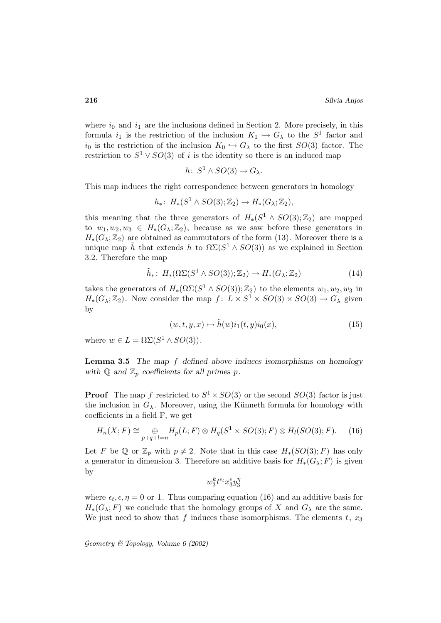where  $i_0$  and  $i_1$  are the inclusions defined in Section 2. More precisely, in this formula  $i_1$  is the restriction of the inclusion  $K_1 \hookrightarrow G_\lambda$  to the  $S^1$  factor and  $i_0$  is the restriction of the inclusion  $K_0 \hookrightarrow G_\lambda$  to the first  $SO(3)$  factor. The restriction to  $S^1 \vee SO(3)$  of i is the identity so there is an induced map

$$
h\colon S^1 \wedge SO(3) \to G_{\lambda}.
$$

This map induces the right correspondence between generators in homology

$$
h_*\colon H_*(S^1\wedge SO(3);{\mathbb Z}_2)\to H_*(G_{\lambda};{\mathbb Z}_2),
$$

this meaning that the three generators of  $H_*(S^1 \wedge SO(3); \mathbb{Z}_2)$  are mapped to  $w_1, w_2, w_3 \in H_*(G_\lambda; \mathbb{Z}_2)$ , because as we saw before these generators in  $H_*(G_\lambda;\mathbb{Z}_2)$  are obtained as commutators of the form (13). Moreover there is a unique map h that extends h to  $\Omega\Sigma(S^1 \wedge SO(3))$  as we explained in Section 3.2. Therefore the map

$$
\tilde{h}_* \colon H_*(\Omega\Sigma(S^1 \wedge SO(3)); \mathbb{Z}_2) \to H_*(G_{\lambda}; \mathbb{Z}_2)
$$
\n(14)

takes the generators of  $H_*(\Omega\Sigma(S^1 \wedge SO(3)); \mathbb{Z}_2)$  to the elements  $w_1, w_2, w_3$  in  $H_*(G_\lambda;\mathbb{Z}_2)$ . Now consider the map  $f: L \times S^1 \times SO(3) \times SO(3) \to G_\lambda$  given by

$$
(w, t, y, x) \mapsto \tilde{h}(w)i_1(t, y)i_0(x), \tag{15}
$$

where  $w \in L = \Omega \Sigma (S^1 \wedge SO(3)).$ 

**Lemma 3.5** *The map* f *defined above induces isomorphisms on homology* with  $\mathbb{Q}$  and  $\mathbb{Z}_p$  coefficients for all primes  $p$ .

**Proof** The map f restricted to  $S^1 \times SO(3)$  or the second  $SO(3)$  factor is just the inclusion in  $G_{\lambda}$ . Moreover, using the Künneth formula for homology with coefficients in a field F, we get

$$
H_n(X;F) \cong \bigoplus_{p+q+l=n} H_p(L;F) \otimes H_q(S^1 \times SO(3);F) \otimes H_l(SO(3);F). \tag{16}
$$

Let F be Q or  $\mathbb{Z}_p$  with  $p \neq 2$ . Note that in this case  $H_*(SO(3); F)$  has only a generator in dimension 3. Therefore an additive basis for  $H_*(G_\lambda; F)$  is given by

$$
w_3^k t^{\epsilon_t} x_3^{\epsilon} y_3^{\eta}
$$

where  $\epsilon_t, \epsilon, \eta = 0$  or 1. Thus comparing equation (16) and an additive basis for  $H_*(G_\lambda; F)$  we conclude that the homology groups of X and  $G_\lambda$  are the same. We just need to show that f induces those isomorphisms. The elements  $t, x_3$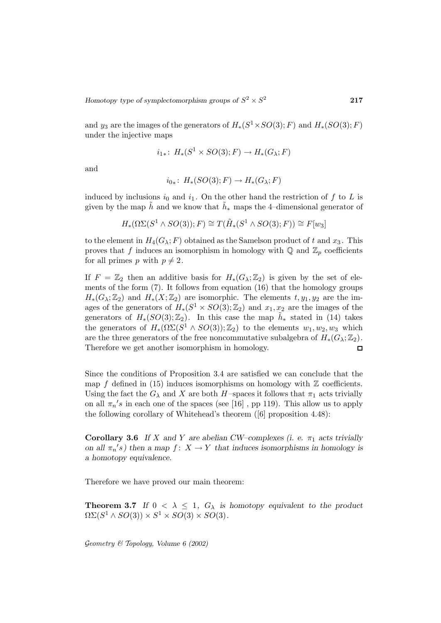and y<sub>3</sub> are the images of the generators of  $H_*(S^1 \times SO(3); F)$  and  $H_*(SO(3); F)$ under the injective maps

$$
i_{1*}\colon H_*(S^1 \times SO(3); F) \to H_*(G_\lambda; F)
$$

and

$$
i_{0*}\colon H_*(SO(3);F)\to H_*(G_{\lambda};F)
$$

induced by inclusions  $i_0$  and  $i_1$ . On the other hand the restriction of f to L is given by the map h and we know that  $h_*$  maps the 4–dimensional generator of

$$
H_*(\Omega\Sigma(S^1 \wedge SO(3)); F) \cong T(\tilde{H}_*(S^1 \wedge SO(3); F)) \cong F[w_3]
$$

to the element in  $H_4(G_\lambda; F)$  obtained as the Samelson product of t and  $x_3$ . This proves that f induces an isomorphism in homology with  $\mathbb{Q}$  and  $\mathbb{Z}_p$  coefficients for all primes p with  $p \neq 2$ .

If  $F = \mathbb{Z}_2$  then an additive basis for  $H_*(G_\lambda;\mathbb{Z}_2)$  is given by the set of elements of the form (7). It follows from equation (16) that the homology groups  $H_*(G_\lambda;\mathbb{Z}_2)$  and  $H_*(X;\mathbb{Z}_2)$  are isomorphic. The elements  $t, y_1, y_2$  are the images of the generators of  $H_*(S^1 \times SO(3); \mathbb{Z}_2)$  and  $x_1, x_2$  are the images of the generators of  $H_*(SO(3);\mathbb{Z}_2)$ . In this case the map  $\tilde{h}_*$  stated in (14) takes the generators of  $H_*(\Omega \Sigma (S^1 \wedge SO(3)); \mathbb{Z}_2)$  to the elements  $w_1, w_2, w_3$  which are the three generators of the free noncommutative subalgebra of  $H_*(G_\lambda;\mathbb{Z}_2)$ . Therefore we get another isomorphism in homology.  $\Box$ 

Since the conditions of Proposition 3.4 are satisfied we can conclude that the map f defined in  $(15)$  induces isomorphisms on homology with  $\mathbb Z$  coefficients. Using the fact the  $G_{\lambda}$  and X are both H-spaces it follows that  $\pi_1$  acts trivially on all  $\pi_n$ 's in each one of the spaces (see [16], pp 119). This allow us to apply the following corollary of Whitehead's theorem ([6] proposition 4.48):

**Corollary 3.6** *If* X and Y are abelian CW–complexes (i. e.  $\pi_1$  acts trivially *on all*  $\pi_n$ 's) then a map  $f: X \to Y$  that induces isomorphisms in homology is *a homotopy equivalence.*

Therefore we have proved our main theorem:

**Theorem 3.7** If  $0 < \lambda \leq 1$ ,  $G_{\lambda}$  is homotopy equivalent to the product  $\Omega\Sigma(S^1\wedge SO(3))\times S^1\times SO(3)\times SO(3)$ .